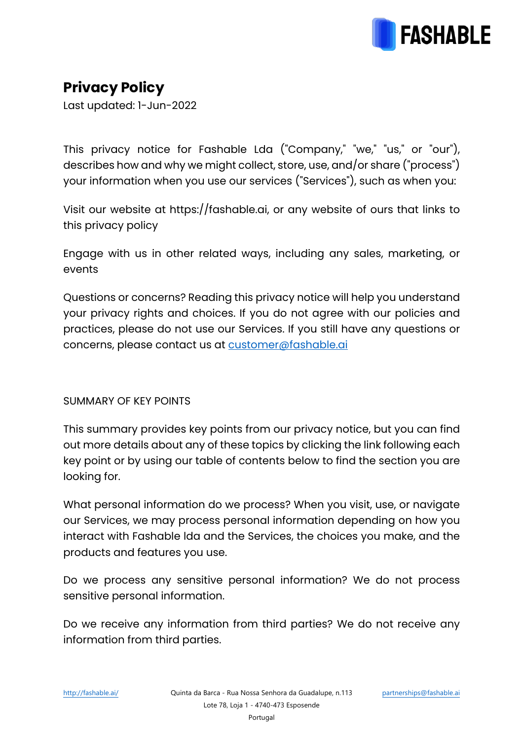

# **Privacy Policy**

Last updated: 1-Jun-2022

This privacy notice for Fashable Lda ("Company," "we," "us," or "our"), describes how and why we might collect, store, use, and/or share ("process") your information when you use our services ("Services"), such as when you:

Visit our website at https://fashable.ai, or any website of ours that links to this privacy policy

Engage with us in other related ways, including any sales, marketing, or events

Questions or concerns? Reading this privacy notice will help you understand your privacy rights and choices. If you do not agree with our policies and practices, please do not use our Services. If you still have any questions or concerns, please contact us at customer@fashable.ai

#### SUMMARY OF KEY POINTS

This summary provides key points from our privacy notice, but you can find out more details about any of these topics by clicking the link following each key point or by using our table of contents below to find the section you are looking for.

What personal information do we process? When you visit, use, or navigate our Services, we may process personal information depending on how you interact with Fashable lda and the Services, the choices you make, and the products and features you use.

Do we process any sensitive personal information? We do not process sensitive personal information.

Do we receive any information from third parties? We do not receive any information from third parties.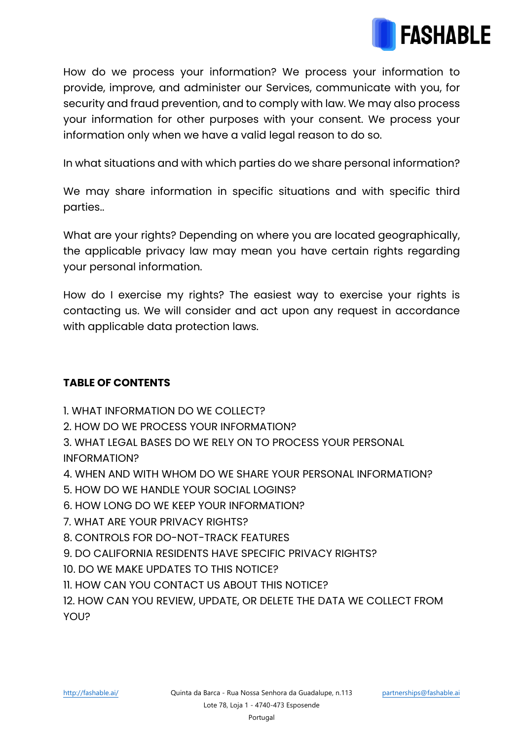

How do we process your information? We process your information to provide, improve, and administer our Services, communicate with you, for security and fraud prevention, and to comply with law. We may also process your information for other purposes with your consent. We process your information only when we have a valid legal reason to do so.

In what situations and with which parties do we share personal information?

We may share information in specific situations and with specific third parties..

What are your rights? Depending on where you are located geographically, the applicable privacy law may mean you have certain rights regarding your personal information.

How do I exercise my rights? The easiest way to exercise your rights is contacting us. We will consider and act upon any request in accordance with applicable data protection laws.

#### **TABLE OF CONTENTS**

- 1. WHAT INFORMATION DO WE COLLECT?
- 2. HOW DO WE PROCESS YOUR INFORMATION?
- 3. WHAT LEGAL BASES DO WE RELY ON TO PROCESS YOUR PERSONAL INFORMATION?
- 4. WHEN AND WITH WHOM DO WE SHARE YOUR PERSONAL INFORMATION?
- 5. HOW DO WE HANDLE YOUR SOCIAL LOGINS?
- 6. HOW LONG DO WE KEEP YOUR INFORMATION?
- 7. WHAT ARE YOUR PRIVACY RIGHTS?
- 8. CONTROLS FOR DO-NOT-TRACK FEATURES
- 9. DO CALIFORNIA RESIDENTS HAVE SPECIFIC PRIVACY RIGHTS?
- 10. DO WE MAKE UPDATES TO THIS NOTICE?
- 11. HOW CAN YOU CONTACT US ABOUT THIS NOTICE?

12. HOW CAN YOU REVIEW, UPDATE, OR DELETE THE DATA WE COLLECT FROM YOU?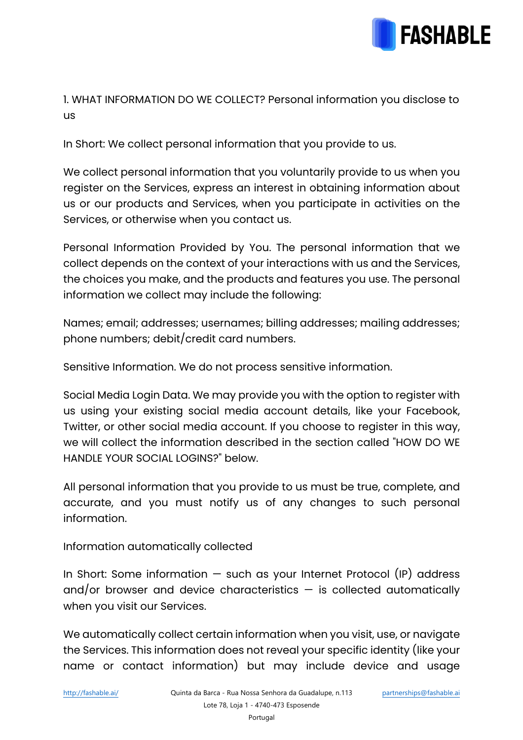

1. WHAT INFORMATION DO WE COLLECT? Personal information you disclose to us

In Short: We collect personal information that you provide to us.

We collect personal information that you voluntarily provide to us when you register on the Services, express an interest in obtaining information about us or our products and Services, when you participate in activities on the Services, or otherwise when you contact us.

Personal Information Provided by You. The personal information that we collect depends on the context of your interactions with us and the Services, the choices you make, and the products and features you use. The personal information we collect may include the following:

Names; email; addresses; usernames; billing addresses; mailing addresses; phone numbers; debit/credit card numbers.

Sensitive Information. We do not process sensitive information.

Social Media Login Data. We may provide you with the option to register with us using your existing social media account details, like your Facebook, Twitter, or other social media account. If you choose to register in this way, we will collect the information described in the section called "HOW DO WE HANDLE YOUR SOCIAL LOGINS?" below.

All personal information that you provide to us must be true, complete, and accurate, and you must notify us of any changes to such personal information.

Information automatically collected

In Short: Some information  $-$  such as your Internet Protocol (IP) address and/or browser and device characteristics  $-$  is collected automatically when you visit our Services.

We automatically collect certain information when you visit, use, or navigate the Services. This information does not reveal your specific identity (like your name or contact information) but may include device and usage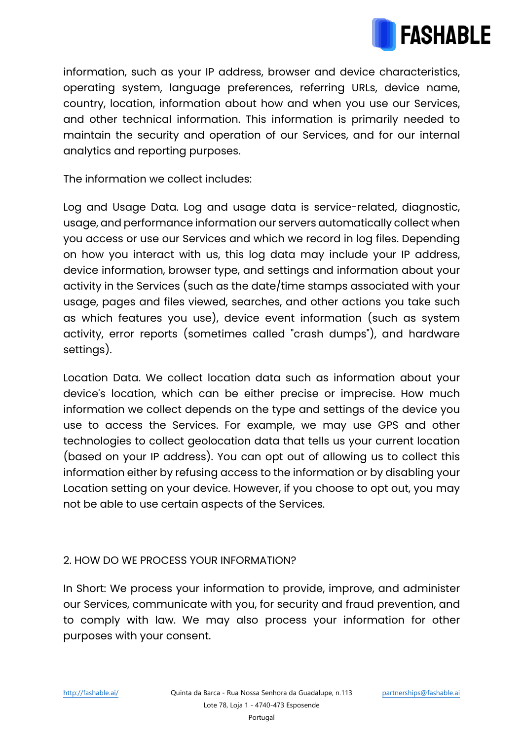

information, such as your IP address, browser and device characteristics, operating system, language preferences, referring URLs, device name, country, location, information about how and when you use our Services, and other technical information. This information is primarily needed to maintain the security and operation of our Services, and for our internal analytics and reporting purposes.

The information we collect includes:

Log and Usage Data. Log and usage data is service-related, diagnostic, usage, and performance information our servers automatically collect when you access or use our Services and which we record in log files. Depending on how you interact with us, this log data may include your IP address, device information, browser type, and settings and information about your activity in the Services (such as the date/time stamps associated with your usage, pages and files viewed, searches, and other actions you take such as which features you use), device event information (such as system activity, error reports (sometimes called "crash dumps"), and hardware settings).

Location Data. We collect location data such as information about your device's location, which can be either precise or imprecise. How much information we collect depends on the type and settings of the device you use to access the Services. For example, we may use GPS and other technologies to collect geolocation data that tells us your current location (based on your IP address). You can opt out of allowing us to collect this information either by refusing access to the information or by disabling your Location setting on your device. However, if you choose to opt out, you may not be able to use certain aspects of the Services.

#### 2. HOW DO WE PROCESS YOUR INFORMATION?

In Short: We process your information to provide, improve, and administer our Services, communicate with you, for security and fraud prevention, and to comply with law. We may also process your information for other purposes with your consent.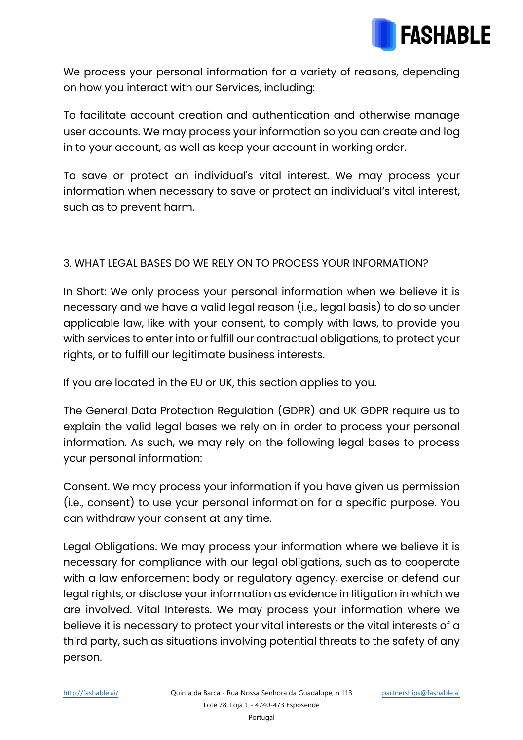

We process your personal information for a variety of reasons, depending on how you interact with our Services, including:

To facilitate account creation and authentication and otherwise manage user accounts. We may process your information so you can create and log in to your account, as well as keep your account in working order.

To save or protect an individual's vital interest. We may process your information when necessary to save or protect an individual's vital interest, such as to prevent harm.

## 3. WHAT LEGAL BASES DO WE RELY ON TO PROCESS YOUR INFORMATION?

In Short: We only process your personal information when we believe it is necessary and we have a valid legal reason (i.e., legal basis) to do so under applicable law, like with your consent, to comply with laws, to provide you with services to enter into or fulfill our contractual obligations, to protect your rights, or to fulfill our legitimate business interests.

If you are located in the EU or UK, this section applies to you.

The General Data Protection Regulation (GDPR) and UK GDPR require us to explain the valid legal bases we rely on in order to process your personal information. As such, we may rely on the following legal bases to process your personal information:

Consent. We may process your information if you have given us permission (i.e., consent) to use your personal information for a specific purpose. You can withdraw your consent at any time.

Legal Obligations. We may process your information where we believe it is necessary for compliance with our legal obligations, such as to cooperate with a law enforcement body or regulatory agency, exercise or defend our legal rights, or disclose your information as evidence in litigation in which we are involved. Vital Interests. We may process your information where we believe it is necessary to protect your vital interests or the vital interests of a third party, such as situations involving potential threats to the safety of any person.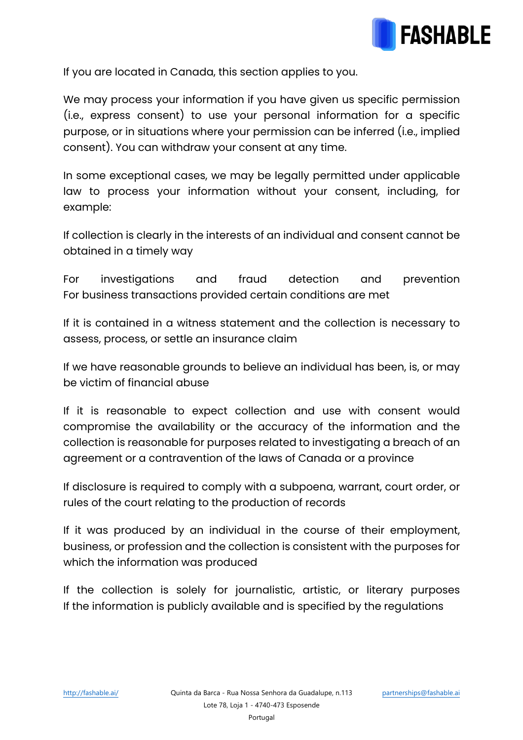

If you are located in Canada, this section applies to you.

We may process your information if you have given us specific permission (i.e., express consent) to use your personal information for a specific purpose, or in situations where your permission can be inferred (i.e., implied consent). You can withdraw your consent at any time.

In some exceptional cases, we may be legally permitted under applicable law to process your information without your consent, including, for example:

If collection is clearly in the interests of an individual and consent cannot be obtained in a timely way

For investigations and fraud detection and prevention For business transactions provided certain conditions are met

If it is contained in a witness statement and the collection is necessary to assess, process, or settle an insurance claim

If we have reasonable grounds to believe an individual has been, is, or may be victim of financial abuse

If it is reasonable to expect collection and use with consent would compromise the availability or the accuracy of the information and the collection is reasonable for purposes related to investigating a breach of an agreement or a contravention of the laws of Canada or a province

If disclosure is required to comply with a subpoena, warrant, court order, or rules of the court relating to the production of records

If it was produced by an individual in the course of their employment, business, or profession and the collection is consistent with the purposes for which the information was produced

If the collection is solely for journalistic, artistic, or literary purposes If the information is publicly available and is specified by the regulations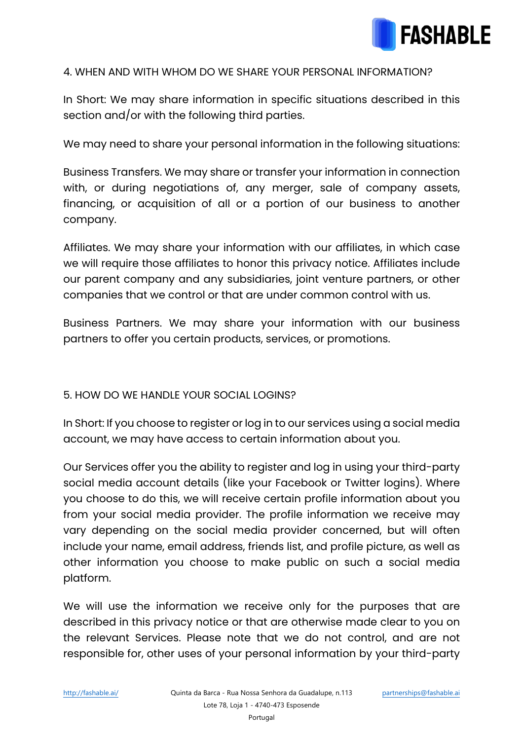

#### 4. WHEN AND WITH WHOM DO WE SHARE YOUR PERSONAL INFORMATION?

In Short: We may share information in specific situations described in this section and/or with the following third parties.

We may need to share your personal information in the following situations:

Business Transfers. We may share or transfer your information in connection with, or during negotiations of, any merger, sale of company assets, financing, or acquisition of all or a portion of our business to another company.

Affiliates. We may share your information with our affiliates, in which case we will require those affiliates to honor this privacy notice. Affiliates include our parent company and any subsidiaries, joint venture partners, or other companies that we control or that are under common control with us.

Business Partners. We may share your information with our business partners to offer you certain products, services, or promotions.

#### 5. HOW DO WE HANDLE YOUR SOCIAL LOGINS?

In Short: If you choose to register or log in to our services using a social media account, we may have access to certain information about you.

Our Services offer you the ability to register and log in using your third-party social media account details (like your Facebook or Twitter logins). Where you choose to do this, we will receive certain profile information about you from your social media provider. The profile information we receive may vary depending on the social media provider concerned, but will often include your name, email address, friends list, and profile picture, as well as other information you choose to make public on such a social media platform.

We will use the information we receive only for the purposes that are described in this privacy notice or that are otherwise made clear to you on the relevant Services. Please note that we do not control, and are not responsible for, other uses of your personal information by your third-party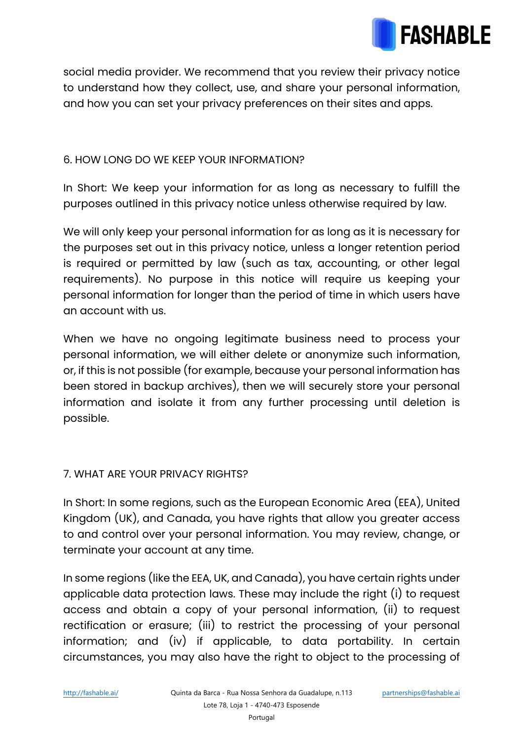

social media provider. We recommend that you review their privacy notice to understand how they collect, use, and share your personal information, and how you can set your privacy preferences on their sites and apps.

### 6. HOW LONG DO WE KEEP YOUR INFORMATION?

In Short: We keep your information for as long as necessary to fulfill the purposes outlined in this privacy notice unless otherwise required by law.

We will only keep your personal information for as long as it is necessary for the purposes set out in this privacy notice, unless a longer retention period is required or permitted by law (such as tax, accounting, or other legal requirements). No purpose in this notice will require us keeping your personal information for longer than the period of time in which users have an account with us.

When we have no ongoing legitimate business need to process your personal information, we will either delete or anonymize such information, or, if this is not possible (for example, because your personal information has been stored in backup archives), then we will securely store your personal information and isolate it from any further processing until deletion is possible.

#### 7. WHAT ARE YOUR PRIVACY RIGHTS?

In Short: In some regions, such as the European Economic Area (EEA), United Kingdom (UK), and Canada, you have rights that allow you greater access to and control over your personal information. You may review, change, or terminate your account at any time.

In some regions (like the EEA, UK, and Canada), you have certain rights under applicable data protection laws. These may include the right (i) to request access and obtain a copy of your personal information, (ii) to request rectification or erasure; (iii) to restrict the processing of your personal information; and (iv) if applicable, to data portability. In certain circumstances, you may also have the right to object to the processing of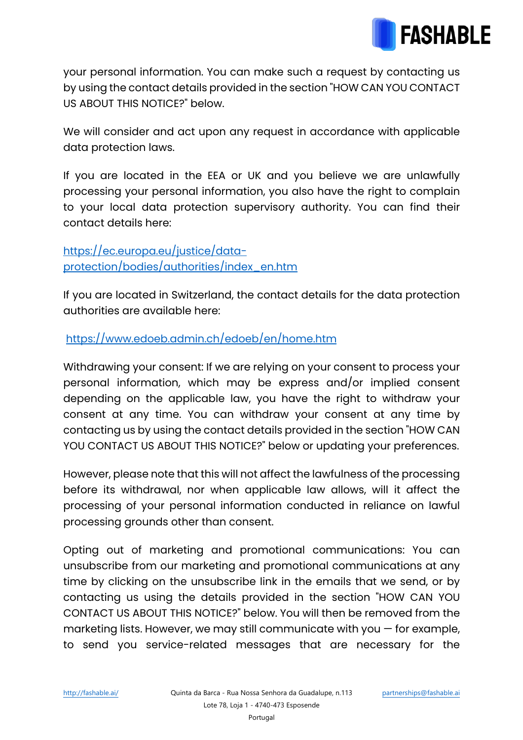

your personal information. You can make such a request by contacting us by using the contact details provided in the section "HOW CAN YOU CONTACT US ABOUT THIS NOTICE?" below.

We will consider and act upon any request in accordance with applicable data protection laws.

If you are located in the EEA or UK and you believe we are unlawfully processing your personal information, you also have the right to complain to your local data protection supervisory authority. You can find their contact details here:

https://ec.europa.eu/justice/dataprotection/bodies/authorities/index\_en.htm

If you are located in Switzerland, the contact details for the data protection authorities are available here:

https://www.edoeb.admin.ch/edoeb/en/home.htm

Withdrawing your consent: If we are relying on your consent to process your personal information, which may be express and/or implied consent depending on the applicable law, you have the right to withdraw your consent at any time. You can withdraw your consent at any time by contacting us by using the contact details provided in the section "HOW CAN YOU CONTACT US ABOUT THIS NOTICE?" below or updating your preferences.

However, please note that this will not affect the lawfulness of the processing before its withdrawal, nor when applicable law allows, will it affect the processing of your personal information conducted in reliance on lawful processing grounds other than consent.

Opting out of marketing and promotional communications: You can unsubscribe from our marketing and promotional communications at any time by clicking on the unsubscribe link in the emails that we send, or by contacting us using the details provided in the section "HOW CAN YOU CONTACT US ABOUT THIS NOTICE?" below. You will then be removed from the marketing lists. However, we may still communicate with you  $-$  for example, to send you service-related messages that are necessary for the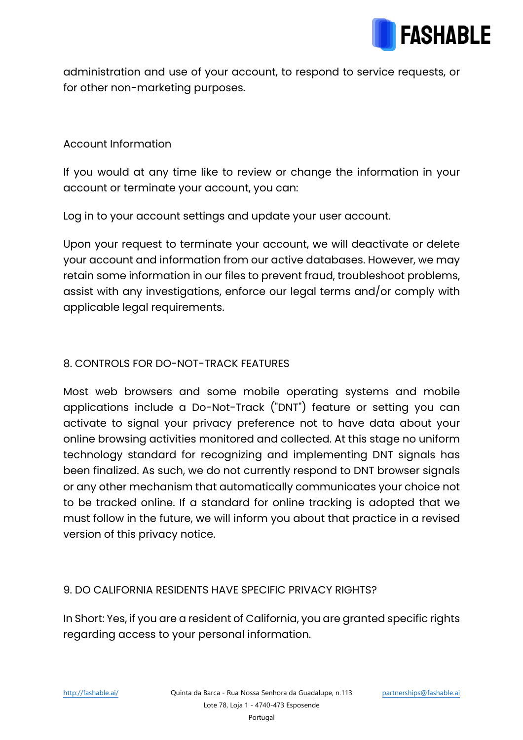

administration and use of your account, to respond to service requests, or for other non-marketing purposes.

## Account Information

If you would at any time like to review or change the information in your account or terminate your account, you can:

Log in to your account settings and update your user account.

Upon your request to terminate your account, we will deactivate or delete your account and information from our active databases. However, we may retain some information in our files to prevent fraud, troubleshoot problems, assist with any investigations, enforce our legal terms and/or comply with applicable legal requirements.

## 8. CONTROLS FOR DO-NOT-TRACK FEATURES

Most web browsers and some mobile operating systems and mobile applications include a Do-Not-Track ("DNT") feature or setting you can activate to signal your privacy preference not to have data about your online browsing activities monitored and collected. At this stage no uniform technology standard for recognizing and implementing DNT signals has been finalized. As such, we do not currently respond to DNT browser signals or any other mechanism that automatically communicates your choice not to be tracked online. If a standard for online tracking is adopted that we must follow in the future, we will inform you about that practice in a revised version of this privacy notice.

#### 9. DO CALIFORNIA RESIDENTS HAVE SPECIFIC PRIVACY RIGHTS?

In Short: Yes, if you are a resident of California, you are granted specific rights regarding access to your personal information.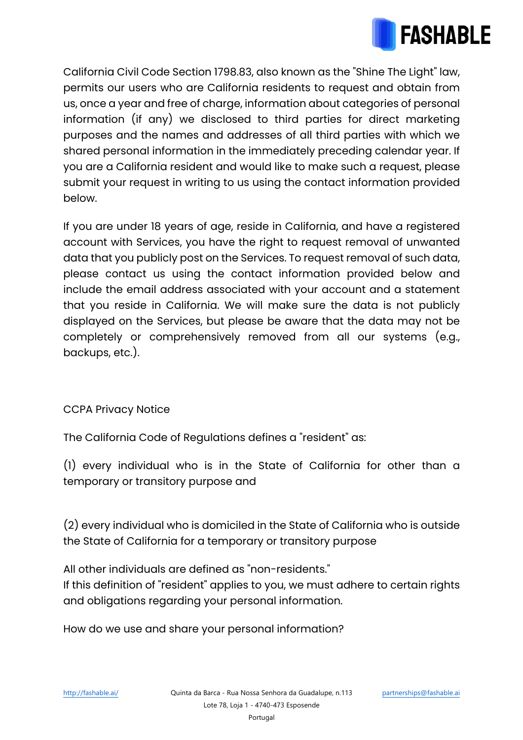

California Civil Code Section 1798.83, also known as the "Shine The Light" law, permits our users who are California residents to request and obtain from us, once a year and free of charge, information about categories of personal information (if any) we disclosed to third parties for direct marketing purposes and the names and addresses of all third parties with which we shared personal information in the immediately preceding calendar year. If you are a California resident and would like to make such a request, please submit your request in writing to us using the contact information provided below.

If you are under 18 years of age, reside in California, and have a registered account with Services, you have the right to request removal of unwanted data that you publicly post on the Services. To request removal of such data, please contact us using the contact information provided below and include the email address associated with your account and a statement that you reside in California. We will make sure the data is not publicly displayed on the Services, but please be aware that the data may not be completely or comprehensively removed from all our systems (e.g., backups, etc.).

#### CCPA Privacy Notice

The California Code of Regulations defines a "resident" as:

(1) every individual who is in the State of California for other than a temporary or transitory purpose and

(2) every individual who is domiciled in the State of California who is outside the State of California for a temporary or transitory purpose

All other individuals are defined as "non-residents." If this definition of "resident" applies to you, we must adhere to certain rights and obligations regarding your personal information.

How do we use and share your personal information?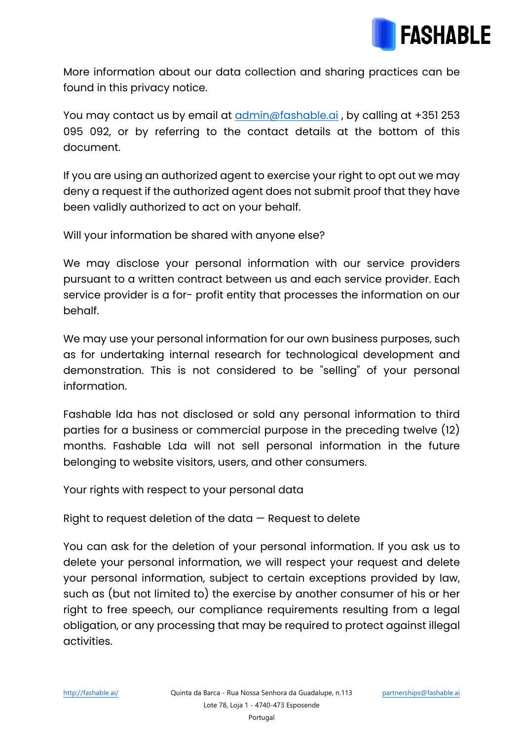

More information about our data collection and sharing practices can be found in this privacy notice.

You may contact us by email at admin@fashable.ai, by calling at +351 253 095 092, or by referring to the contact details at the bottom of this document.

If you are using an authorized agent to exercise your right to opt out we may deny a request if the authorized agent does not submit proof that they have been validly authorized to act on your behalf.

Will your information be shared with anyone else?

We may disclose your personal information with our service providers pursuant to a written contract between us and each service provider. Each service provider is a for- profit entity that processes the information on our behalf.

We may use your personal information for our own business purposes, such as for undertaking internal research for technological development and demonstration. This is not considered to be "selling" of your personal information.

Fashable lda has not disclosed or sold any personal information to third parties for a business or commercial purpose in the preceding twelve (12) months. Fashable Lda will not sell personal information in the future belonging to website visitors, users, and other consumers.

Your rights with respect to your personal data

Right to request deletion of the data  $-$  Request to delete

You can ask for the deletion of your personal information. If you ask us to delete your personal information, we will respect your request and delete your personal information, subject to certain exceptions provided by law, such as (but not limited to) the exercise by another consumer of his or her right to free speech, our compliance requirements resulting from a legal obligation, or any processing that may be required to protect against illegal activities.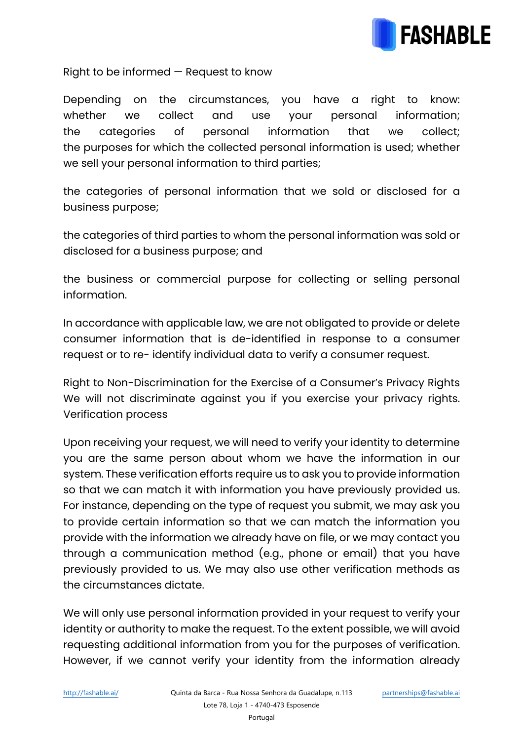

Right to be informed — Request to know

Depending on the circumstances, you have a right to know: whether we collect and use your personal information; the categories of personal information that we collect; the purposes for which the collected personal information is used; whether we sell your personal information to third parties;

the categories of personal information that we sold or disclosed for a business purpose;

the categories of third parties to whom the personal information was sold or disclosed for a business purpose; and

the business or commercial purpose for collecting or selling personal information.

In accordance with applicable law, we are not obligated to provide or delete consumer information that is de-identified in response to a consumer request or to re- identify individual data to verify a consumer request.

Right to Non-Discrimination for the Exercise of a Consumer's Privacy Rights We will not discriminate against you if you exercise your privacy rights. Verification process

Upon receiving your request, we will need to verify your identity to determine you are the same person about whom we have the information in our system. These verification efforts require us to ask you to provide information so that we can match it with information you have previously provided us. For instance, depending on the type of request you submit, we may ask you to provide certain information so that we can match the information you provide with the information we already have on file, or we may contact you through a communication method (e.g., phone or email) that you have previously provided to us. We may also use other verification methods as the circumstances dictate.

We will only use personal information provided in your request to verify your identity or authority to make the request. To the extent possible, we will avoid requesting additional information from you for the purposes of verification. However, if we cannot verify your identity from the information already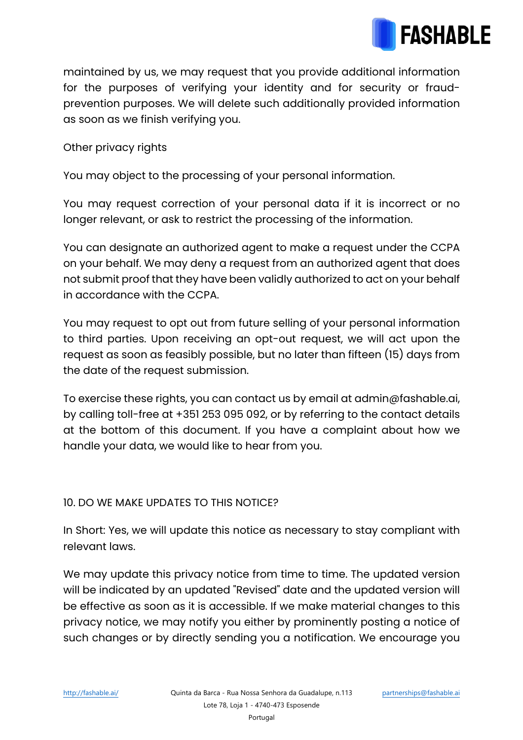

maintained by us, we may request that you provide additional information for the purposes of verifying your identity and for security or fraudprevention purposes. We will delete such additionally provided information as soon as we finish verifying you.

Other privacy rights

You may object to the processing of your personal information.

You may request correction of your personal data if it is incorrect or no longer relevant, or ask to restrict the processing of the information.

You can designate an authorized agent to make a request under the CCPA on your behalf. We may deny a request from an authorized agent that does not submit proof that they have been validly authorized to act on your behalf in accordance with the CCPA.

You may request to opt out from future selling of your personal information to third parties. Upon receiving an opt-out request, we will act upon the request as soon as feasibly possible, but no later than fifteen (15) days from the date of the request submission.

To exercise these rights, you can contact us by email at admin@fashable.ai, by calling toll-free at +351 253 095 092, or by referring to the contact details at the bottom of this document. If you have a complaint about how we handle your data, we would like to hear from you.

#### 10. DO WE MAKE UPDATES TO THIS NOTICE?

In Short: Yes, we will update this notice as necessary to stay compliant with relevant laws.

We may update this privacy notice from time to time. The updated version will be indicated by an updated "Revised" date and the updated version will be effective as soon as it is accessible. If we make material changes to this privacy notice, we may notify you either by prominently posting a notice of such changes or by directly sending you a notification. We encourage you